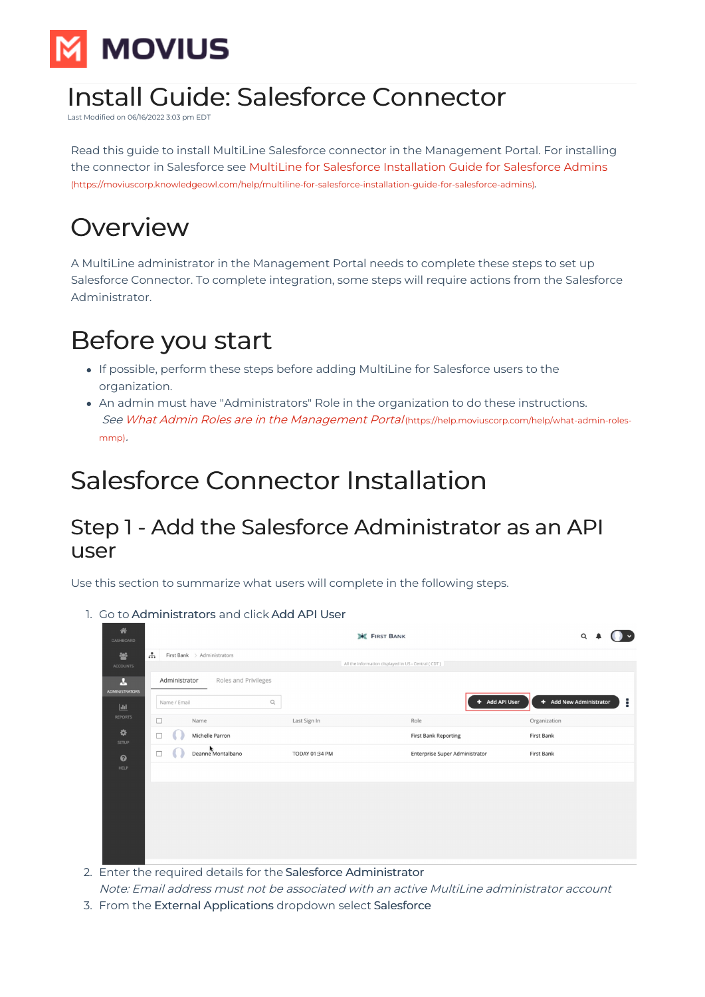

# Install Guide: Salesforce Connector

Last Modified on 06/16/2022 3:03 pm EDT

Read this guide to install MultiLine Salesforce connector in the Management Portal. For installing the connector in Salesforce see MultiLine for Salesforce [Installation](http://moviuscorp.knowledgeowl.com/help/multiline-for-salesforce-installation-guide-for-salesforce-admins) Guide for Salesforce Admins [\(https://moviuscorp.knowledgeowl.com/help/multiline-for-salesforce-installation-guide-for-salesforce-admins\)](https://moviuscorp.knowledgeowl.com/help/multiline-for-salesforce-installation-guide-for-salesforce-admins).

# **Overview**

A MultiLine administrator in the Management Portal needs to complete these steps to set up Salesforce Connector. To complete integration, some steps will require actions from the Salesforce Administrator.

# Before you start

- If possible, perform these steps before adding MultiLine for Salesforce users to the organization.
- An admin must have "Administrators" Role in the organization to do these instructions. See What Admin Roles are in the [Management](https://help.moviuscorp.com/help/what-admin-roles-mmp) Portal [\(https://help.moviuscorp.com/help/what-admin-roles](https://help.moviuscorp.com/help/what-admin-roles-mmp)mmp).

# Salesforce Connector Installation

## Step 1 - Add the Salesforce Administrator as an API user

Use this section to summarize what users will complete in the following steps.

1. Go to Administrators and click Add API User

| 备<br><b>DASHBOARD</b>                 |                                                                                         | FIRST BANK            | $\alpha$                                              |                              |
|---------------------------------------|-----------------------------------------------------------------------------------------|-----------------------|-------------------------------------------------------|------------------------------|
| 鼞<br><b>ACCOUNTS</b>                  | <b></b><br>First Bank > Administrators                                                  |                       | All the information displayed in US - Central ( CDT ) |                              |
| A<br><b>ADMINISTRATORS</b><br>$ $ dıl | Roles and Privileges<br>Administrator<br>$\hbox{\scriptsize\textsf{Q}}$<br>Name / Email |                       | + Add API User                                        | ÷<br>+ Add New Administrator |
| <b>REPORTS</b>                        | Name<br>□                                                                               | Last Sign In          | Role                                                  | Organization                 |
| ٠<br>SETUP                            | Michelle Parron<br>□                                                                    |                       | <b>First Bank Reporting</b>                           | First Bank                   |
| $\boldsymbol{\Theta}$                 | Deanne Montalbano<br>□                                                                  | <b>TODAY 01:34 PM</b> | Enterprise Super Administrator                        | First Bank                   |
| <b>HELP</b>                           |                                                                                         |                       |                                                       |                              |
|                                       |                                                                                         |                       |                                                       |                              |
|                                       |                                                                                         |                       |                                                       |                              |
|                                       |                                                                                         |                       |                                                       |                              |
|                                       |                                                                                         |                       |                                                       |                              |
|                                       |                                                                                         |                       |                                                       |                              |

- 2. Enter the required details for the Salesforce Administrator Note: Email address must not be associated with an active MultiLine administrator account
- 3. From the External Applications dropdown select Salesforce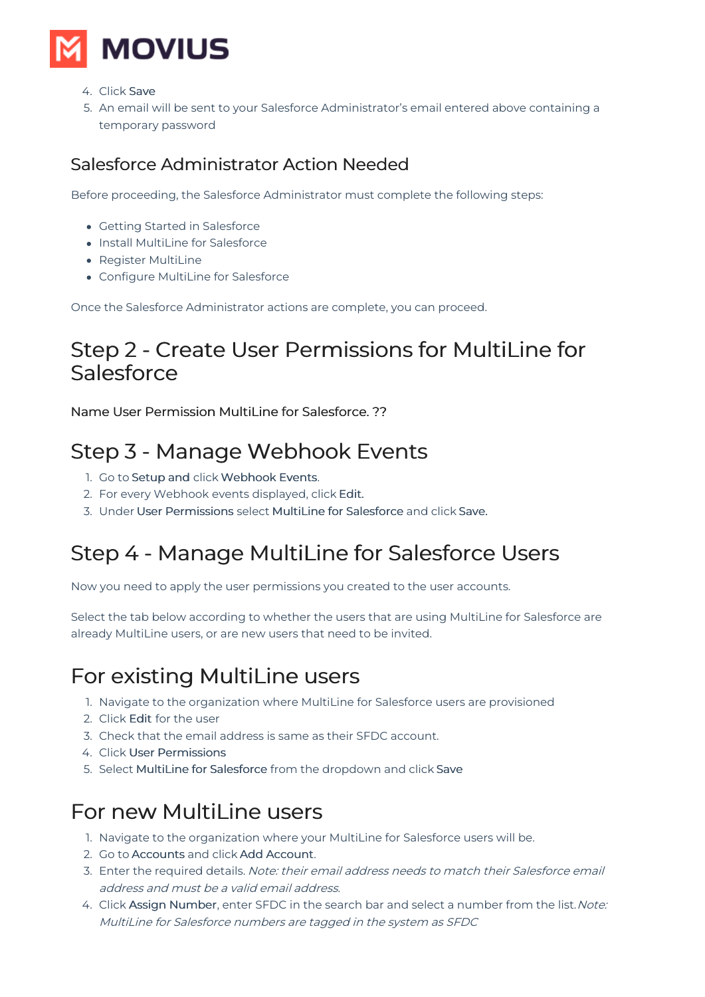

- 4. Click Save
- 5. An email will be sent to your Salesforce Administrator's email entered above containing a temporary password

### Salesforce Administrator Action Needed

Before proceeding, the Salesforce Administrator must complete the following steps:

- Getting Started in Salesforce
- $\bullet$  Install MultiLine for Salesforce
- Register MultiLine
- Configure MultiLine for Salesforce

Once the Salesforce Administrator actions are complete, you can proceed.

## Step 2 - Create User Permissions for MultiLine for Salesforce

Name User Permission MultiLine for Salesforce. ??

# Step 3 - Manage Webhook Events

- 1. Go to Setup and click Webhook Events.
- 2. For every Webhook events displayed, click Edit.
- 3. Under User Permissions select MultiLine for Salesforce and click Save.

## Step 4 - Manage MultiLine for Salesforce Users

Now you need to apply the user permissions you created to the user accounts.

Select the tab below according to whether the users that are using MultiLine for Salesforce are already MultiLine users, or are new users that need to be invited.

## For existing MultiLine users

- 1. Navigate to the organization where MultiLine for Salesforce users are provisioned
- 2. Click Edit for the user
- 3. Check that the email address is same as their SFDC account.
- 4. Click User Permissions
- 5. Select MultiLine for Salesforce from the dropdown and click Save

### For new MultiLine users

- 1. Navigate to the organization where your MultiLine for Salesforce users will be.
- 2. Go to Accounts and click Add Account.
- 3. Enter the required details. Note: their email address needs to match their Salesforce email address and must be a valid email address.
- 4. Click Assign Number, enter SFDC in the search bar and select a number from the list. Note: MultiLine for Salesforce numbers are tagged in the system as SFDC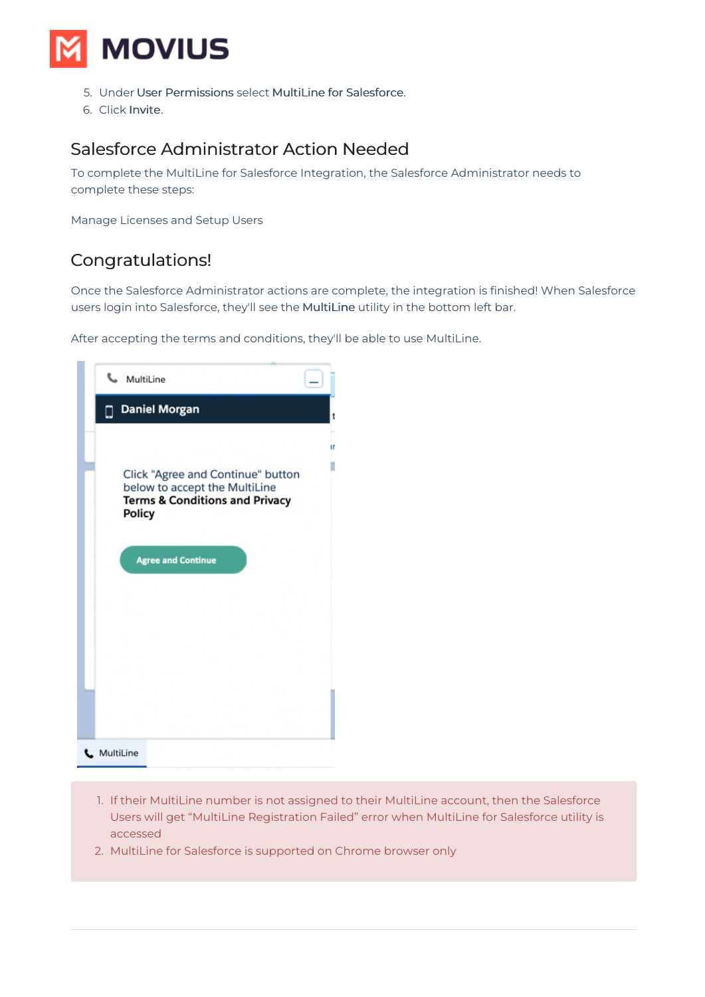

- 5. Under User Permissions select MultiLine for Salesforce.
- 6. Click Invite.

#### Salesforce Administrator Action Needed

To complete the MultiLine for Salesforce Integration, the Salesforce Administrator needs to complete these steps:

Manage Licenses and Setup Users

#### Congratulations!

Once the Salesforce Administrator actions are complete, the integration is finished! When Salesforce users login into Salesforce, they'll see the MultiLine utility in the bottom left bar.

After accepting the terms and conditions, they'll be able to use MultiLine.



- 1. If their MultiLine number is not assigned to their MultiLine account, then the Salesforce Users will get "MultiLine Registration Failed" error when MultiLine for Salesforce utility is accessed
- 2. MultiLine for Salesforce is supported on Chrome browser only